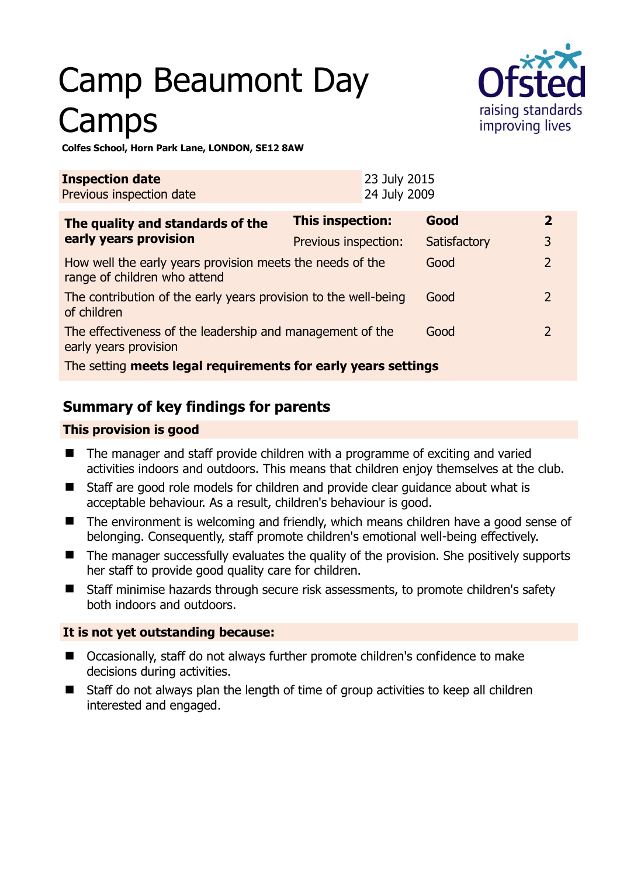# Camp Beaumont Day **Camps**



## **Colfes School, Horn Park Lane, LONDON, SE12 8AW**

| <b>Inspection date</b><br>Previous inspection date                                        |                         | 23 July 2015<br>24 July 2009 |              |  |                |
|-------------------------------------------------------------------------------------------|-------------------------|------------------------------|--------------|--|----------------|
| The quality and standards of the<br>early years provision                                 | <b>This inspection:</b> |                              | Good         |  | $\mathbf{z}$   |
|                                                                                           | Previous inspection:    |                              | Satisfactory |  | 3              |
| How well the early years provision meets the needs of the<br>range of children who attend |                         |                              | Good         |  | $\overline{2}$ |
| The contribution of the early years provision to the well-being<br>of children            |                         |                              | Good         |  | $\mathcal{P}$  |
| The effectiveness of the leadership and management of the<br>early years provision        |                         |                              | Good         |  | $\mathcal{P}$  |
| The setting meets legal requirements for early years settings                             |                         |                              |              |  |                |

# **Summary of key findings for parents**

## **This provision is good**

- The manager and staff provide children with a programme of exciting and varied activities indoors and outdoors. This means that children enjoy themselves at the club.
- Staff are good role models for children and provide clear guidance about what is acceptable behaviour. As a result, children's behaviour is good.
- The environment is welcoming and friendly, which means children have a good sense of belonging. Consequently, staff promote children's emotional well-being effectively.
- $\blacksquare$  The manager successfully evaluates the quality of the provision. She positively supports her staff to provide good quality care for children.
- Staff minimise hazards through secure risk assessments, to promote children's safety both indoors and outdoors.

## **It is not yet outstanding because:**

- Occasionally, staff do not always further promote children's confidence to make decisions during activities.
- Staff do not always plan the length of time of group activities to keep all children interested and engaged.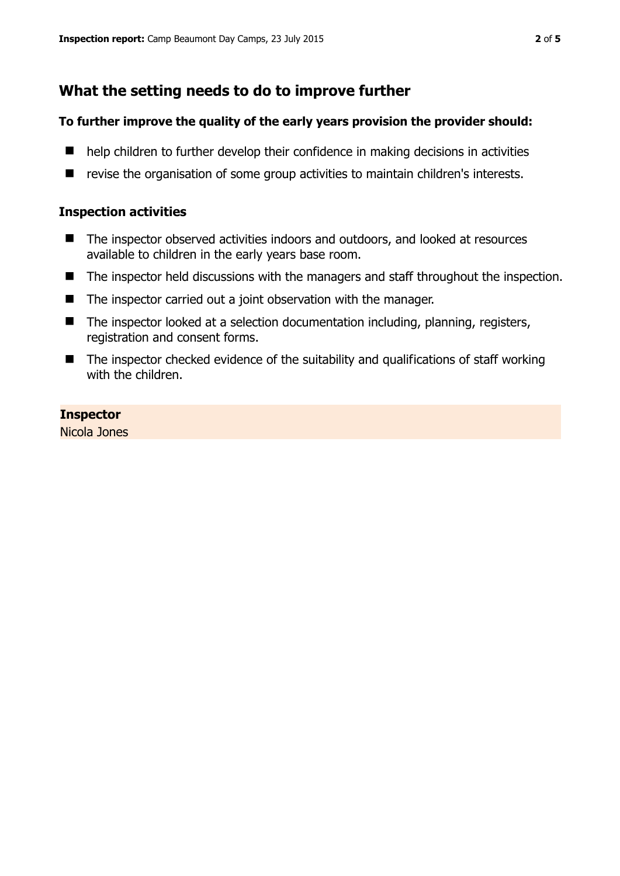# **What the setting needs to do to improve further**

## **To further improve the quality of the early years provision the provider should:**

- $\blacksquare$  help children to further develop their confidence in making decisions in activities
- revise the organisation of some group activities to maintain children's interests.

# **Inspection activities**

- The inspector observed activities indoors and outdoors, and looked at resources available to children in the early years base room.
- The inspector held discussions with the managers and staff throughout the inspection.
- The inspector carried out a joint observation with the manager.
- The inspector looked at a selection documentation including, planning, registers, registration and consent forms.
- $\blacksquare$  The inspector checked evidence of the suitability and qualifications of staff working with the children.

## **Inspector**

Nicola Jones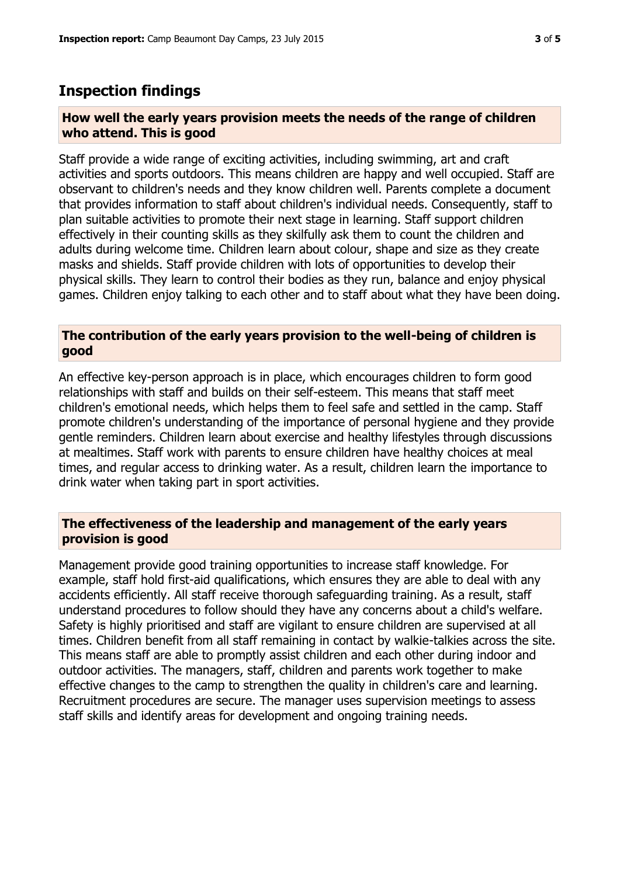# **Inspection findings**

#### **How well the early years provision meets the needs of the range of children who attend. This is good**

Staff provide a wide range of exciting activities, including swimming, art and craft activities and sports outdoors. This means children are happy and well occupied. Staff are observant to children's needs and they know children well. Parents complete a document that provides information to staff about children's individual needs. Consequently, staff to plan suitable activities to promote their next stage in learning. Staff support children effectively in their counting skills as they skilfully ask them to count the children and adults during welcome time. Children learn about colour, shape and size as they create masks and shields. Staff provide children with lots of opportunities to develop their physical skills. They learn to control their bodies as they run, balance and enjoy physical games. Children enjoy talking to each other and to staff about what they have been doing.

## **The contribution of the early years provision to the well-being of children is good**

An effective key-person approach is in place, which encourages children to form good relationships with staff and builds on their self-esteem. This means that staff meet children's emotional needs, which helps them to feel safe and settled in the camp. Staff promote children's understanding of the importance of personal hygiene and they provide gentle reminders. Children learn about exercise and healthy lifestyles through discussions at mealtimes. Staff work with parents to ensure children have healthy choices at meal times, and regular access to drinking water. As a result, children learn the importance to drink water when taking part in sport activities.

## **The effectiveness of the leadership and management of the early years provision is good**

Management provide good training opportunities to increase staff knowledge. For example, staff hold first-aid qualifications, which ensures they are able to deal with any accidents efficiently. All staff receive thorough safeguarding training. As a result, staff understand procedures to follow should they have any concerns about a child's welfare. Safety is highly prioritised and staff are vigilant to ensure children are supervised at all times. Children benefit from all staff remaining in contact by walkie-talkies across the site. This means staff are able to promptly assist children and each other during indoor and outdoor activities. The managers, staff, children and parents work together to make effective changes to the camp to strengthen the quality in children's care and learning. Recruitment procedures are secure. The manager uses supervision meetings to assess staff skills and identify areas for development and ongoing training needs.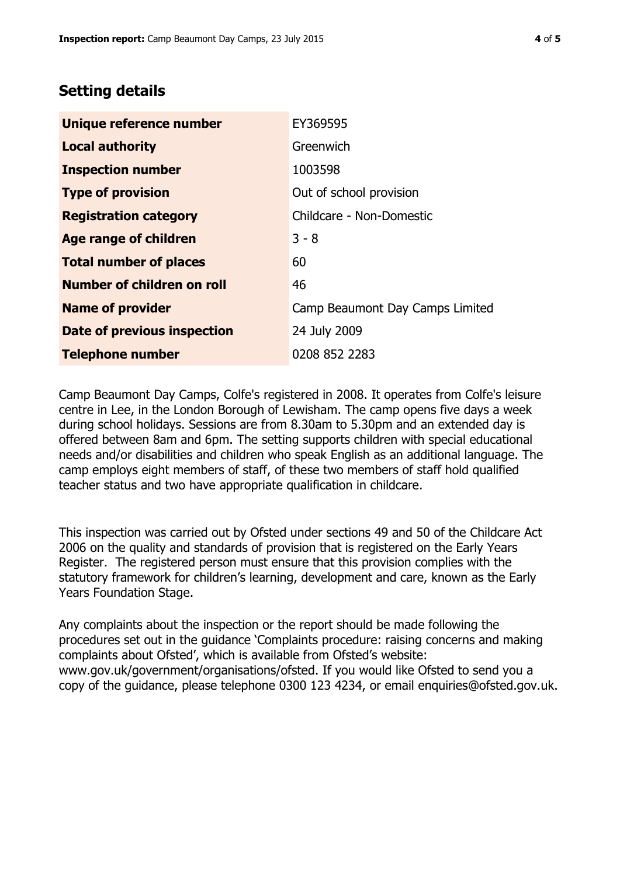# **Setting details**

| Unique reference number       | EY369595                        |  |
|-------------------------------|---------------------------------|--|
| <b>Local authority</b>        | Greenwich                       |  |
| <b>Inspection number</b>      | 1003598                         |  |
| <b>Type of provision</b>      | Out of school provision         |  |
| <b>Registration category</b>  | Childcare - Non-Domestic        |  |
| Age range of children         | $3 - 8$                         |  |
| <b>Total number of places</b> | 60                              |  |
| Number of children on roll    | 46                              |  |
| <b>Name of provider</b>       | Camp Beaumont Day Camps Limited |  |
| Date of previous inspection   | 24 July 2009                    |  |
| <b>Telephone number</b>       | 0208 852 2283                   |  |

Camp Beaumont Day Camps, Colfe's registered in 2008. It operates from Colfe's leisure centre in Lee, in the London Borough of Lewisham. The camp opens five days a week during school holidays. Sessions are from 8.30am to 5.30pm and an extended day is offered between 8am and 6pm. The setting supports children with special educational needs and/or disabilities and children who speak English as an additional language. The camp employs eight members of staff, of these two members of staff hold qualified teacher status and two have appropriate qualification in childcare.

This inspection was carried out by Ofsted under sections 49 and 50 of the Childcare Act 2006 on the quality and standards of provision that is registered on the Early Years Register. The registered person must ensure that this provision complies with the statutory framework for children's learning, development and care, known as the Early Years Foundation Stage.

Any complaints about the inspection or the report should be made following the procedures set out in the guidance 'Complaints procedure: raising concerns and making complaints about Ofsted', which is available from Ofsted's website: www.gov.uk/government/organisations/ofsted. If you would like Ofsted to send you a copy of the guidance, please telephone 0300 123 4234, or email enquiries@ofsted.gov.uk.